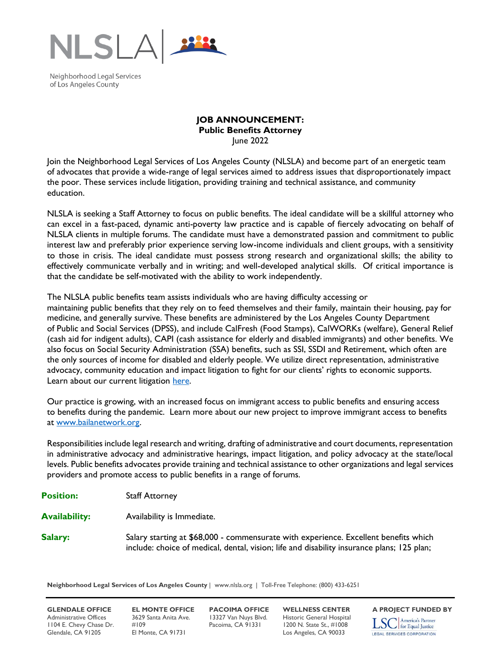

Neighborhood Legal Services of Los Angeles County

## **JOB ANNOUNCEMENT: Public Benefits Attorney** June 2022

Join the Neighborhood Legal Services of Los Angeles County (NLSLA) and become part of an energetic team of advocates that provide a wide-range of legal services aimed to address issues that disproportionately impact the poor. These services include litigation, providing training and technical assistance, and community education.

NLSLA is seeking a Staff Attorney to focus on public benefits. The ideal candidate will be a skillful attorney who can excel in a fast-paced, dynamic anti-poverty law practice and is capable of fiercely advocating on behalf of NLSLA clients in multiple forums. The candidate must have a demonstrated passion and commitment to public interest law and preferably prior experience serving low-income individuals and client groups, with a sensitivity to those in crisis. The ideal candidate must possess strong research and organizational skills; the ability to effectively communicate verbally and in writing; and well-developed analytical skills. Of critical importance is that the candidate be self-motivated with the ability to work independently.

The NLSLA public benefits team assists individuals who are having difficulty accessing or maintaining public benefits that they rely on to feed themselves and their family, maintain their housing, pay for medicine, and generally survive. These benefits are administered by the Los Angeles County Department of Public and Social Services (DPSS), and include CalFresh (Food Stamps), CalWORKs (welfare), General Relief (cash aid for indigent adults), CAPI (cash assistance for elderly and disabled immigrants) and other benefits. We also focus on Social Security Administration (SSA) benefits, such as SSI, SSDI and Retirement, which often are the only sources of income for disabled and elderly people. We utilize direct representation, administrative advocacy, community education and impact litigation to fight for our clients' rights to economic supports. Learn about our current litigation [here.](https://laist.com/news/food/cal-fresh-los-angeles-county-dpss-lawsuit-homeless-food-stamps-assistance)

Our practice is growing, with an increased focus on immigrant access to public benefits and ensuring access to benefits during the pandemic. Learn more about our new project to improve immigrant access to benefits at [www.bailanetwork.org.](http://www.bailanetwork.org/)

Responsibilities include legal research and writing, drafting of administrative and court documents, representation in administrative advocacy and administrative hearings, impact litigation, and policy advocacy at the state/local levels. Public benefits advocates provide training and technical assistance to other organizations and legal services providers and promote access to public benefits in a range of forums.

- **Position:** Staff Attorney
- **Availability:** Availability is Immediate.
- **Salary:** Salary starting at \$68,000 commensurate with experience. Excellent benefits which include: choice of medical, dental, vision; life and disability insurance plans; 125 plan;

**Neighborhood Legal Services of Los Angeles County** | www.nlsla.org | Toll-Free Telephone: (800) 433-6251

Administrative Offices 3629 Santa Anita Ave. 13327 Van Nuys Blvd. Historic General Hospital<br>1104 E. Chevy Chase Dr. #109 Pacoima, CA 91331 1200 N. State St., #1008 1104 E. Chevy Chase Dr. #109 Pacoima, CA 91331 1200 N. State St., #1008 Glendale, CA 91205 El Monte, CA 91731 Los Angeles, CA 90033

**GLENDALE OFFICE EL MONTE OFFICE PACOIMA OFFICE WELLNESS CENTER A PROJECT FUNDED BY** America's Partner